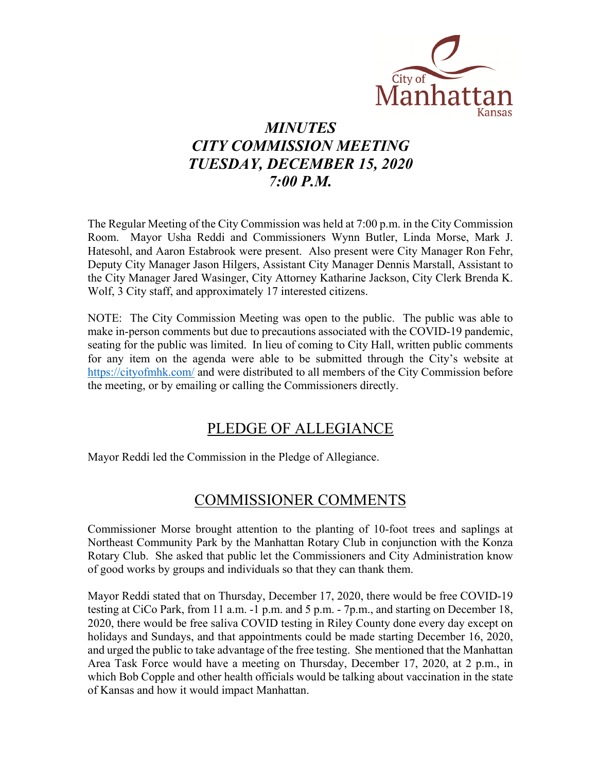

# *MINUTES CITY COMMISSION MEETING TUESDAY, DECEMBER 15, 2020 7:00 P.M.*

The Regular Meeting of the City Commission was held at 7:00 p.m. in the City Commission Room. Mayor Usha Reddi and Commissioners Wynn Butler, Linda Morse, Mark J. Hatesohl, and Aaron Estabrook were present. Also present were City Manager Ron Fehr, Deputy City Manager Jason Hilgers, Assistant City Manager Dennis Marstall, Assistant to the City Manager Jared Wasinger, City Attorney Katharine Jackson, City Clerk Brenda K. Wolf, 3 City staff, and approximately 17 interested citizens.

NOTE: The City Commission Meeting was open to the public. The public was able to make in-person comments but due to precautions associated with the COVID-19 pandemic, seating for the public was limited. In lieu of coming to City Hall, written public comments for any item on the agenda were able to be submitted through the City's website at [https://cityofmhk.com/](https://cityofmhk.com/and) and were distributed to all members of the City Commission before the meeting, or by emailing or calling the Commissioners directly.

## PLEDGE OF ALLEGIANCE

Mayor Reddi led the Commission in the Pledge of Allegiance.

# COMMISSIONER COMMENTS

Commissioner Morse brought attention to the planting of 10-foot trees and saplings at Northeast Community Park by the Manhattan Rotary Club in conjunction with the Konza Rotary Club. She asked that public let the Commissioners and City Administration know of good works by groups and individuals so that they can thank them.

Mayor Reddi stated that on Thursday, December 17, 2020, there would be free COVID-19 testing at CiCo Park, from 11 a.m. -1 p.m. and 5 p.m. - 7p.m., and starting on December 18, 2020, there would be free saliva COVID testing in Riley County done every day except on holidays and Sundays, and that appointments could be made starting December 16, 2020, and urged the public to take advantage of the free testing. She mentioned that the Manhattan Area Task Force would have a meeting on Thursday, December 17, 2020, at 2 p.m., in which Bob Copple and other health officials would be talking about vaccination in the state of Kansas and how it would impact Manhattan.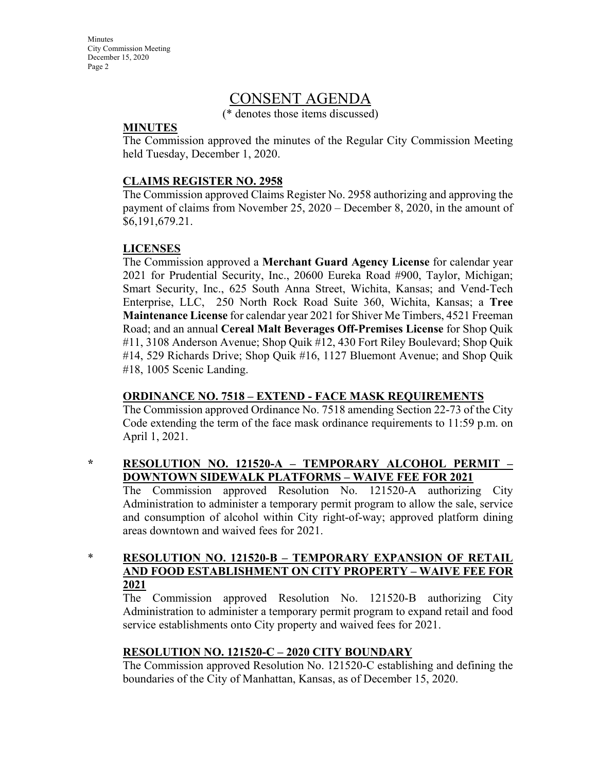**Minutes** City Commission Meeting December 15, 2020 Page 2

## CONSENT AGENDA

(\* denotes those items discussed)

### **MINUTES**

The Commission approved the minutes of the Regular City Commission Meeting held Tuesday, December 1, 2020.

### **CLAIMS REGISTER NO. 2958**

The Commission approved Claims Register No. 2958 authorizing and approving the payment of claims from November 25, 2020 – December 8, 2020, in the amount of \$6,191,679.21.

## **LICENSES**

The Commission approved a **Merchant Guard Agency License** for calendar year 2021 for Prudential Security, Inc., 20600 Eureka Road #900, Taylor, Michigan; Smart Security, Inc., 625 South Anna Street, Wichita, Kansas; and Vend-Tech Enterprise, LLC, 250 North Rock Road Suite 360, Wichita, Kansas; a **Tree Maintenance License** for calendar year 2021 for Shiver Me Timbers, 4521 Freeman Road; and an annual **Cereal Malt Beverages Off-Premises License** for Shop Quik #11, 3108 Anderson Avenue; Shop Quik #12, 430 Fort Riley Boulevard; Shop Quik #14, 529 Richards Drive; Shop Quik #16, 1127 Bluemont Avenue; and Shop Quik #18, 1005 Scenic Landing.

## **ORDINANCE NO. 7518 – EXTEND - FACE MASK REQUIREMENTS**

The Commission approved Ordinance No. 7518 amending Section 22-73 of the City Code extending the term of the face mask ordinance requirements to 11:59 p.m. on April 1, 2021.

## **\* RESOLUTION NO. 121520-A – TEMPORARY ALCOHOL PERMIT – DOWNTOWN SIDEWALK PLATFORMS – WAIVE FEE FOR 2021**

The Commission approved Resolution No. 121520-A authorizing City Administration to administer a temporary permit program to allow the sale, service and consumption of alcohol within City right-of-way; approved platform dining areas downtown and waived fees for 2021.

\* **RESOLUTION NO. 121520-B – TEMPORARY EXPANSION OF RETAIL AND FOOD ESTABLISHMENT ON CITY PROPERTY – WAIVE FEE FOR 2021**

The Commission approved Resolution No. 121520-B authorizing City Administration to administer a temporary permit program to expand retail and food service establishments onto City property and waived fees for 2021.

## **RESOLUTION NO. 121520-C – 2020 CITY BOUNDARY**

The Commission approved Resolution No. 121520-C establishing and defining the boundaries of the City of Manhattan, Kansas, as of December 15, 2020.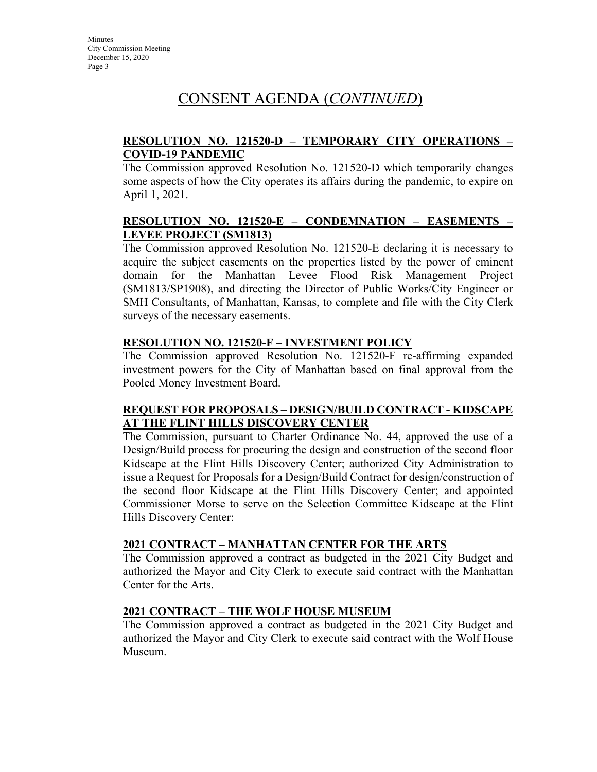## **RESOLUTION NO. 121520-D – TEMPORARY CITY OPERATIONS – COVID-19 PANDEMIC**

The Commission approved Resolution No. 121520-D which temporarily changes some aspects of how the City operates its affairs during the pandemic, to expire on April 1, 2021.

## **RESOLUTION NO. 121520-E – CONDEMNATION – EASEMENTS – LEVEE PROJECT (SM1813)**

The Commission approved Resolution No. 121520-E declaring it is necessary to acquire the subject easements on the properties listed by the power of eminent domain for the Manhattan Levee Flood Risk Management Project (SM1813/SP1908), and directing the Director of Public Works/City Engineer or SMH Consultants, of Manhattan, Kansas, to complete and file with the City Clerk surveys of the necessary easements.

## **RESOLUTION NO. 121520-F – INVESTMENT POLICY**

The Commission approved Resolution No. 121520-F re-affirming expanded investment powers for the City of Manhattan based on final approval from the Pooled Money Investment Board.

### **REQUEST FOR PROPOSALS – DESIGN/BUILD CONTRACT - KIDSCAPE AT THE FLINT HILLS DISCOVERY CENTER**

The Commission, pursuant to Charter Ordinance No. 44, approved the use of a Design/Build process for procuring the design and construction of the second floor Kidscape at the Flint Hills Discovery Center; authorized City Administration to issue a Request for Proposals for a Design/Build Contract for design/construction of the second floor Kidscape at the Flint Hills Discovery Center; and appointed Commissioner Morse to serve on the Selection Committee Kidscape at the Flint Hills Discovery Center:

## **2021 CONTRACT – MANHATTAN CENTER FOR THE ARTS**

The Commission approved a contract as budgeted in the 2021 City Budget and authorized the Mayor and City Clerk to execute said contract with the Manhattan Center for the Arts.

## **2021 CONTRACT – THE WOLF HOUSE MUSEUM**

The Commission approved a contract as budgeted in the 2021 City Budget and authorized the Mayor and City Clerk to execute said contract with the Wolf House Museum.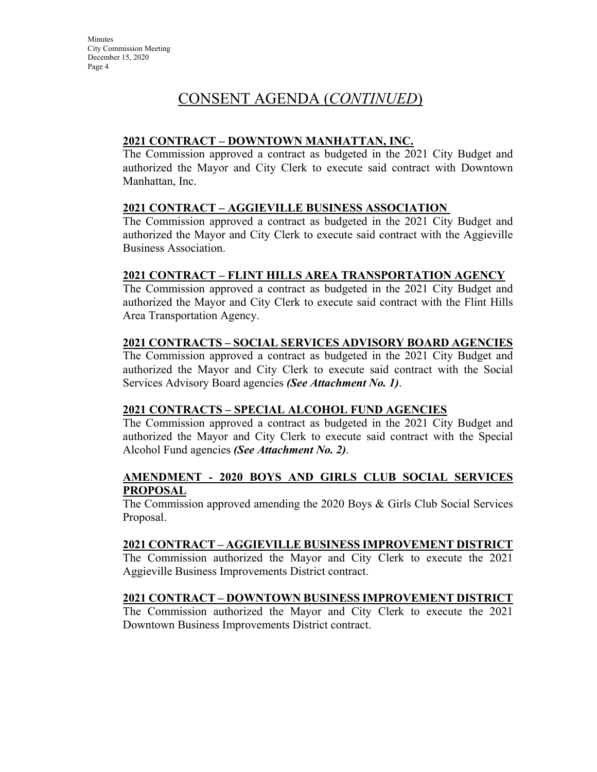## **2021 CONTRACT – DOWNTOWN MANHATTAN, INC.**

The Commission approved a contract as budgeted in the 2021 City Budget and authorized the Mayor and City Clerk to execute said contract with Downtown Manhattan, Inc.

## **2021 CONTRACT – AGGIEVILLE BUSINESS ASSOCIATION**

The Commission approved a contract as budgeted in the 2021 City Budget and authorized the Mayor and City Clerk to execute said contract with the Aggieville Business Association.

## **2021 CONTRACT – FLINT HILLS AREA TRANSPORTATION AGENCY**

The Commission approved a contract as budgeted in the 2021 City Budget and authorized the Mayor and City Clerk to execute said contract with the Flint Hills Area Transportation Agency.

## **2021 CONTRACTS – SOCIAL SERVICES ADVISORY BOARD AGENCIES**

The Commission approved a contract as budgeted in the 2021 City Budget and authorized the Mayor and City Clerk to execute said contract with the Social Services Advisory Board agencies *(See Attachment No. 1)*.

## **2021 CONTRACTS – SPECIAL ALCOHOL FUND AGENCIES**

The Commission approved a contract as budgeted in the 2021 City Budget and authorized the Mayor and City Clerk to execute said contract with the Special Alcohol Fund agencies *(See Attachment No. 2)*.

### **AMENDMENT - 2020 BOYS AND GIRLS CLUB SOCIAL SERVICES PROPOSAL**

The Commission approved amending the 2020 Boys & Girls Club Social Services Proposal.

## **2021 CONTRACT – AGGIEVILLE BUSINESS IMPROVEMENT DISTRICT**

The Commission authorized the Mayor and City Clerk to execute the 2021 Aggieville Business Improvements District contract.

## **2021 CONTRACT – DOWNTOWN BUSINESS IMPROVEMENT DISTRICT**

The Commission authorized the Mayor and City Clerk to execute the 2021 Downtown Business Improvements District contract.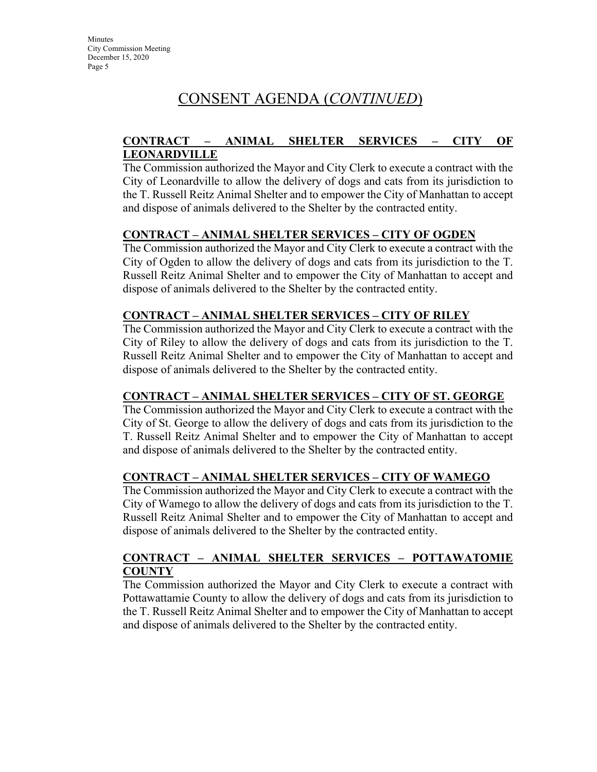## **CONTRACT – ANIMAL SHELTER SERVICES – CITY OF LEONARDVILLE**

The Commission authorized the Mayor and City Clerk to execute a contract with the City of Leonardville to allow the delivery of dogs and cats from its jurisdiction to the T. Russell Reitz Animal Shelter and to empower the City of Manhattan to accept and dispose of animals delivered to the Shelter by the contracted entity.

## **CONTRACT – ANIMAL SHELTER SERVICES – CITY OF OGDEN**

The Commission authorized the Mayor and City Clerk to execute a contract with the City of Ogden to allow the delivery of dogs and cats from its jurisdiction to the T. Russell Reitz Animal Shelter and to empower the City of Manhattan to accept and dispose of animals delivered to the Shelter by the contracted entity.

## **CONTRACT – ANIMAL SHELTER SERVICES – CITY OF RILEY**

The Commission authorized the Mayor and City Clerk to execute a contract with the City of Riley to allow the delivery of dogs and cats from its jurisdiction to the T. Russell Reitz Animal Shelter and to empower the City of Manhattan to accept and dispose of animals delivered to the Shelter by the contracted entity.

## **CONTRACT – ANIMAL SHELTER SERVICES – CITY OF ST. GEORGE**

The Commission authorized the Mayor and City Clerk to execute a contract with the City of St. George to allow the delivery of dogs and cats from its jurisdiction to the T. Russell Reitz Animal Shelter and to empower the City of Manhattan to accept and dispose of animals delivered to the Shelter by the contracted entity.

## **CONTRACT – ANIMAL SHELTER SERVICES – CITY OF WAMEGO**

The Commission authorized the Mayor and City Clerk to execute a contract with the City of Wamego to allow the delivery of dogs and cats from its jurisdiction to the T. Russell Reitz Animal Shelter and to empower the City of Manhattan to accept and dispose of animals delivered to the Shelter by the contracted entity.

## **CONTRACT – ANIMAL SHELTER SERVICES – POTTAWATOMIE COUNTY**

The Commission authorized the Mayor and City Clerk to execute a contract with Pottawattamie County to allow the delivery of dogs and cats from its jurisdiction to the T. Russell Reitz Animal Shelter and to empower the City of Manhattan to accept and dispose of animals delivered to the Shelter by the contracted entity.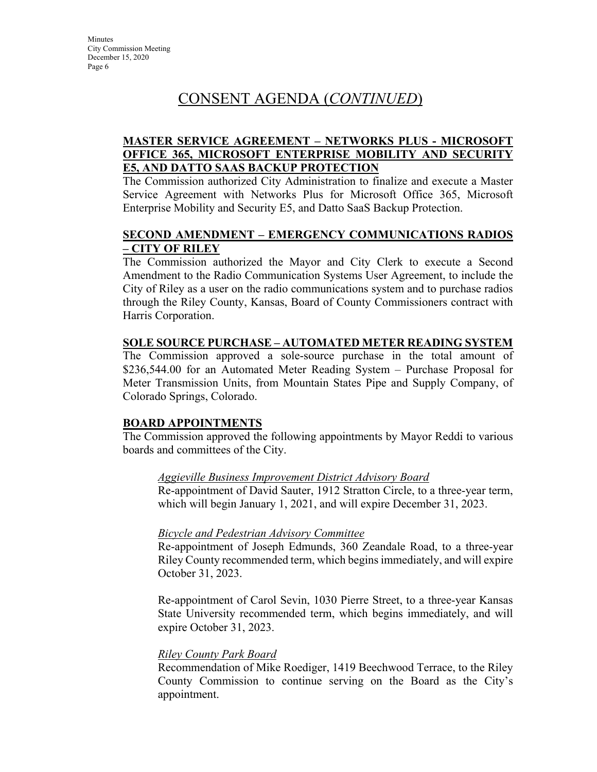## **MASTER SERVICE AGREEMENT – NETWORKS PLUS - MICROSOFT OFFICE 365, MICROSOFT ENTERPRISE MOBILITY AND SECURITY E5, AND DATTO SAAS BACKUP PROTECTION**

The Commission authorized City Administration to finalize and execute a Master Service Agreement with Networks Plus for Microsoft Office 365, Microsoft Enterprise Mobility and Security E5, and Datto SaaS Backup Protection.

## **SECOND AMENDMENT – EMERGENCY COMMUNICATIONS RADIOS – CITY OF RILEY**

The Commission authorized the Mayor and City Clerk to execute a Second Amendment to the Radio Communication Systems User Agreement, to include the City of Riley as a user on the radio communications system and to purchase radios through the Riley County, Kansas, Board of County Commissioners contract with Harris Corporation.

### **SOLE SOURCE PURCHASE – AUTOMATED METER READING SYSTEM**

The Commission approved a sole-source purchase in the total amount of \$236,544.00 for an Automated Meter Reading System – Purchase Proposal for Meter Transmission Units, from Mountain States Pipe and Supply Company, of Colorado Springs, Colorado.

#### **BOARD APPOINTMENTS**

The Commission approved the following appointments by Mayor Reddi to various boards and committees of the City.

## *[Aggieville](http://www.cityofmhk.com/DocumentCenter/View/21758) Business Improvement District Advisory Board*

Re-appointment of David Sauter, 1912 Stratton Circle, to a three-year term, which will begin January 1, 2021, and will expire December 31, 2023.

## *[Bicycle and Pedestrian Advisory Committee](http://www.cityofmhk.com/DocumentCenter/View/21758)*

Re-appointment of Joseph Edmunds, 360 Zeandale Road, to a three-year Riley County recommended term, which begins immediately, and will expire October 31, 2023.

Re-appointment of Carol Sevin, 1030 Pierre Street, to a three-year Kansas State University recommended term, which begins immediately, and will expire October 31, 2023.

## *Riley County Park Board*

Recommendation of Mike Roediger, 1419 Beechwood Terrace, to the Riley County Commission to continue serving on the Board as the City's appointment.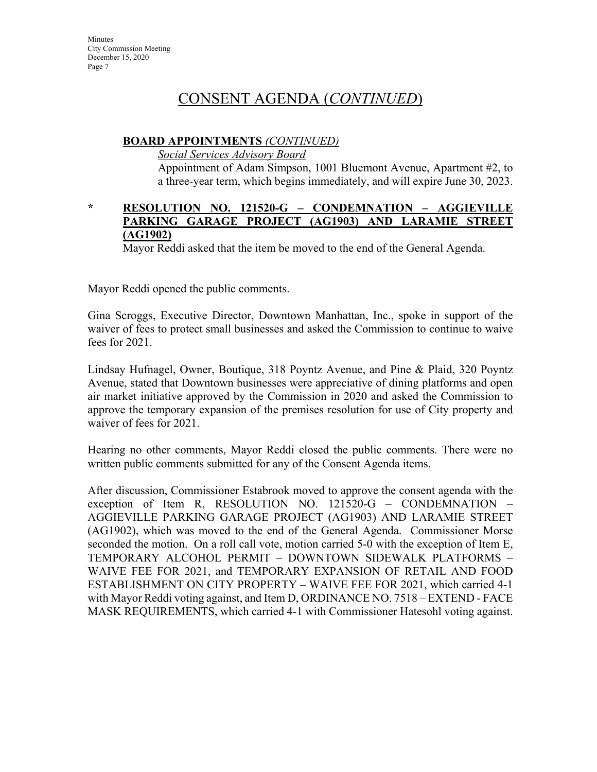### **BOARD APPOINTMENTS** *(CONTINUED)*

*Social Services Advisory Board*

Appointment of Adam Simpson, 1001 Bluemont Avenue, Apartment #2, to a three-year term, which begins immediately, and will expire June 30, 2023.

### **\* RESOLUTION NO. 121520-G – CONDEMNATION – AGGIEVILLE PARKING GARAGE PROJECT (AG1903) AND LARAMIE STREET (AG1902)**

Mayor Reddi asked that the item be moved to the end of the General Agenda.

Mayor Reddi opened the public comments.

Gina Scroggs, Executive Director, Downtown Manhattan, Inc., spoke in support of the waiver of fees to protect small businesses and asked the Commission to continue to waive fees for 2021.

Lindsay Hufnagel, Owner, Boutique, 318 Poyntz Avenue, and Pine & Plaid, 320 Poyntz Avenue, stated that Downtown businesses were appreciative of dining platforms and open air market initiative approved by the Commission in 2020 and asked the Commission to approve the temporary expansion of the premises resolution for use of City property and waiver of fees for 2021.

Hearing no other comments, Mayor Reddi closed the public comments. There were no written public comments submitted for any of the Consent Agenda items.

After discussion, Commissioner Estabrook moved to approve the consent agenda with the exception of Item R, RESOLUTION NO. 121520-G – CONDEMNATION AGGIEVILLE PARKING GARAGE PROJECT (AG1903) AND LARAMIE STREET (AG1902), which was moved to the end of the General Agenda. Commissioner Morse seconded the motion. On a roll call vote, motion carried 5-0 with the exception of Item E, TEMPORARY ALCOHOL PERMIT – DOWNTOWN SIDEWALK PLATFORMS – WAIVE FEE FOR 2021, and TEMPORARY EXPANSION OF RETAIL AND FOOD ESTABLISHMENT ON CITY PROPERTY – WAIVE FEE FOR 2021, which carried 4-1 with Mayor Reddi voting against, and Item D, ORDINANCE NO. 7518 – EXTEND - FACE MASK REQUIREMENTS, which carried 4-1 with Commissioner Hatesohl voting against.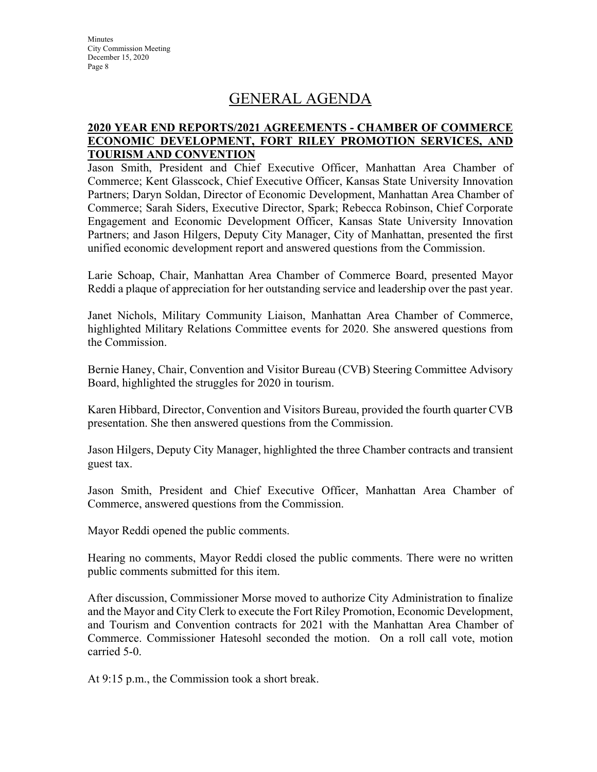**Minutes** City Commission Meeting December 15, 2020 Page 8

## GENERAL AGENDA

### **2020 YEAR END REPORTS/2021 AGREEMENTS - CHAMBER OF COMMERCE ECONOMIC DEVELOPMENT, FORT RILEY PROMOTION SERVICES, AND TOURISM AND CONVENTION**

Jason Smith, President and Chief Executive Officer, Manhattan Area Chamber of Commerce; Kent Glasscock, Chief Executive Officer, Kansas State University Innovation Partners; Daryn Soldan, Director of Economic Development, Manhattan Area Chamber of Commerce; Sarah Siders, Executive Director, Spark; Rebecca Robinson, Chief Corporate Engagement and Economic Development Officer, Kansas State University Innovation Partners; and Jason Hilgers, Deputy City Manager, City of Manhattan, presented the first unified economic development report and answered questions from the Commission.

Larie Schoap, Chair, Manhattan Area Chamber of Commerce Board, presented Mayor Reddi a plaque of appreciation for her outstanding service and leadership over the past year.

Janet Nichols, Military Community Liaison, Manhattan Area Chamber of Commerce, highlighted Military Relations Committee events for 2020. She answered questions from the Commission.

Bernie Haney, Chair, Convention and Visitor Bureau (CVB) Steering Committee Advisory Board, highlighted the struggles for 2020 in tourism.

Karen Hibbard, Director, Convention and Visitors Bureau, provided the fourth quarter CVB presentation. She then answered questions from the Commission.

Jason Hilgers, Deputy City Manager, highlighted the three Chamber contracts and transient guest tax.

Jason Smith, President and Chief Executive Officer, Manhattan Area Chamber of Commerce, answered questions from the Commission.

Mayor Reddi opened the public comments.

Hearing no comments, Mayor Reddi closed the public comments. There were no written public comments submitted for this item.

After discussion, Commissioner Morse moved to authorize City Administration to finalize and the Mayor and City Clerk to execute the Fort Riley Promotion, Economic Development, and Tourism and Convention contracts for 2021 with the Manhattan Area Chamber of Commerce. Commissioner Hatesohl seconded the motion. On a roll call vote, motion carried 5-0.

At 9:15 p.m., the Commission took a short break.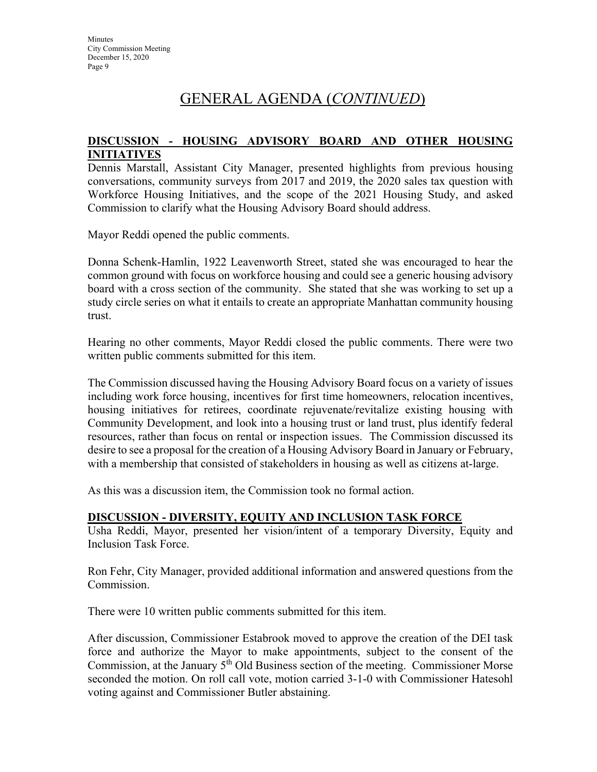## GENERAL AGENDA (*CONTINUED*)

### **DISCUSSION - HOUSING ADVISORY BOARD AND OTHER HOUSING INITIATIVES**

Dennis Marstall, Assistant City Manager, presented highlights from previous housing conversations, community surveys from 2017 and 2019, the 2020 sales tax question with Workforce Housing Initiatives, and the scope of the 2021 Housing Study, and asked Commission to clarify what the Housing Advisory Board should address.

Mayor Reddi opened the public comments.

Donna Schenk-Hamlin, 1922 Leavenworth Street, stated she was encouraged to hear the common ground with focus on workforce housing and could see a generic housing advisory board with a cross section of the community. She stated that she was working to set up a study circle series on what it entails to create an appropriate Manhattan community housing trust.

Hearing no other comments, Mayor Reddi closed the public comments. There were two written public comments submitted for this item.

The Commission discussed having the Housing Advisory Board focus on a variety of issues including work force housing, incentives for first time homeowners, relocation incentives, housing initiatives for retirees, coordinate rejuvenate/revitalize existing housing with Community Development, and look into a housing trust or land trust, plus identify federal resources, rather than focus on rental or inspection issues. The Commission discussed its desire to see a proposal for the creation of a Housing Advisory Board in January or February, with a membership that consisted of stakeholders in housing as well as citizens at-large.

As this was a discussion item, the Commission took no formal action.

## **DISCUSSION - DIVERSITY, EQUITY AND INCLUSION TASK FORCE**

Usha Reddi, Mayor, presented her vision/intent of a temporary Diversity, Equity and Inclusion Task Force.

Ron Fehr, City Manager, provided additional information and answered questions from the Commission.

There were 10 written public comments submitted for this item.

After discussion, Commissioner Estabrook moved to approve the creation of the DEI task force and authorize the Mayor to make appointments, subject to the consent of the Commission, at the January  $5<sup>th</sup>$  Old Business section of the meeting. Commissioner Morse seconded the motion. On roll call vote, motion carried 3-1-0 with Commissioner Hatesohl voting against and Commissioner Butler abstaining.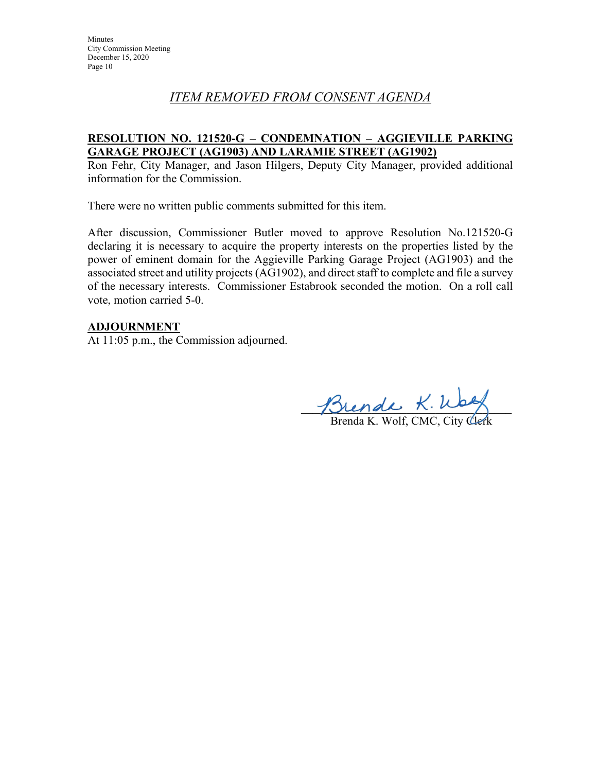## *ITEM REMOVED FROM CONSENT AGENDA*

## **RESOLUTION NO. 121520-G – CONDEMNATION – AGGIEVILLE PARKING GARAGE PROJECT (AG1903) AND LARAMIE STREET (AG1902)**

Ron Fehr, City Manager, and Jason Hilgers, Deputy City Manager, provided additional information for the Commission.

There were no written public comments submitted for this item.

After discussion, Commissioner Butler moved to approve Resolution No.121520-G declaring it is necessary to acquire the property interests on the properties listed by the power of eminent domain for the Aggieville Parking Garage Project (AG1903) and the associated street and utility projects (AG1902), and direct staff to complete and file a survey of the necessary interests. Commissioner Estabrook seconded the motion. On a roll call vote, motion carried 5-0.

## **ADJOURNMENT**

At 11:05 p.m., the Commission adjourned.

 $J\mathcal{D}$ lende  $\kappa$ . Way

Brenda K. Wolf, CMC, City Clerk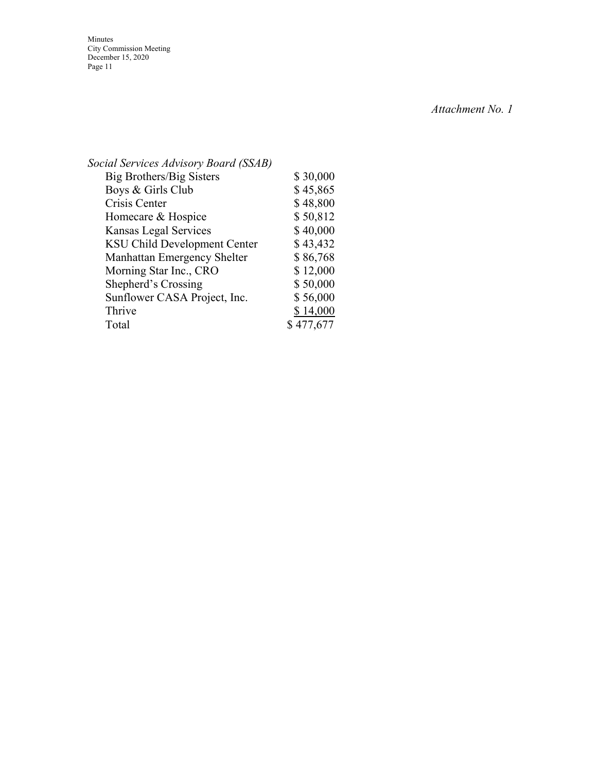Minutes City Commission Meeting December 15, 2020 Page 11

*Attachment No. 1*

| Social Services Advisory Board (SSAB) |           |
|---------------------------------------|-----------|
| Big Brothers/Big Sisters              | \$30,000  |
| Boys & Girls Club                     | \$45,865  |
| Crisis Center                         | \$48,800  |
| Homecare & Hospice                    | \$50,812  |
| Kansas Legal Services                 | \$40,000  |
| <b>KSU Child Development Center</b>   | \$43,432  |
| Manhattan Emergency Shelter           | \$86,768  |
| Morning Star Inc., CRO                | \$12,000  |
| Shepherd's Crossing                   | \$50,000  |
| Sunflower CASA Project, Inc.          | \$56,000  |
| Thrive                                | \$14,000  |
| Total                                 | \$477,677 |
|                                       |           |